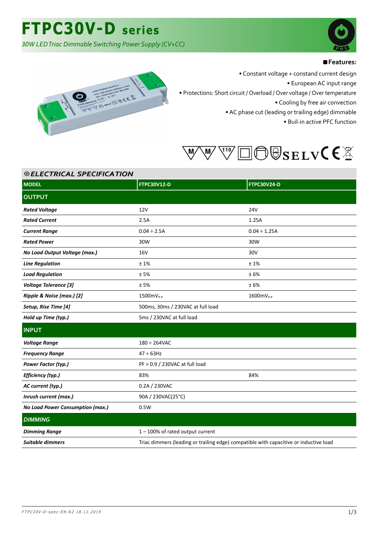*30W LED Triac Dimmable Switching Power Supply (CV+CC)*



#### ■**Features:**



• Constant voltage + constand current design

• European AC input range

• Protections: Short circuit / Overload / Over voltage / Over temperature

• Cooling by free air convection

• AC phase cut (leading or trailing edge) dimmable

• Buil-in active PFC function



| <b>©ELECTRICAL SPECIFICATION</b> |                                                                                       |                    |  |
|----------------------------------|---------------------------------------------------------------------------------------|--------------------|--|
| <b>MODEL</b>                     | <b>FTPC30V12-D</b>                                                                    | <b>FTPC30V24-D</b> |  |
| <b>OUTPUT</b>                    |                                                                                       |                    |  |
| <b>Rated Voltage</b>             | 12V                                                                                   | <b>24V</b>         |  |
| <b>Rated Current</b>             | 2.5A                                                                                  | 1.25A              |  |
| <b>Current Range</b>             | $0.04 \div 2.5A$                                                                      | $0.04 \div 1.25A$  |  |
| <b>Rated Power</b>               | 30W                                                                                   | 30W                |  |
| No Load Output Voltage (max.)    | <b>16V</b>                                                                            | 30V                |  |
| <b>Line Regulation</b>           | $\pm$ 1%                                                                              | ±1%                |  |
| <b>Load Regulation</b>           | ±5%                                                                                   | ±6%                |  |
| <b>Voltage Tolerance [3]</b>     | ±5%                                                                                   | ±6%                |  |
| Ripple & Noise (max.) [2]        | 1500mV <sub>P-P</sub>                                                                 | $1600mV_{P-P}$     |  |
| Setup, Rise Time [4]             | 500ms, 30ms / 230VAC at full load                                                     |                    |  |
| Hold up Time (typ.)              | 5ms / 230VAC at full load                                                             |                    |  |
| <b>INPUT</b>                     |                                                                                       |                    |  |
| <b>Voltage Range</b>             | $180 \div 264$ VAC                                                                    |                    |  |
| <b>Frequency Range</b>           | $47 \div 63$ Hz                                                                       |                    |  |
| Power Factor (typ.)              | PF > 0.9 / 230VAC at full load                                                        |                    |  |
| Efficiency (typ.)                | 83%                                                                                   | 84%                |  |
| AC current (typ.)                | 0.2A / 230VAC                                                                         |                    |  |
| Inrush current (max.)            | 90A / 230VAC(25°C)                                                                    |                    |  |
| No Load Power Consumption (max.) | 0.5W                                                                                  |                    |  |
| <b>DIMMING</b>                   |                                                                                       |                    |  |
| <b>Dimming Range</b>             | 1-100% of rated output current                                                        |                    |  |
| Suitable dimmers                 | Triac dimmers (leading or trailing edge) compatible with capacitive or inductive load |                    |  |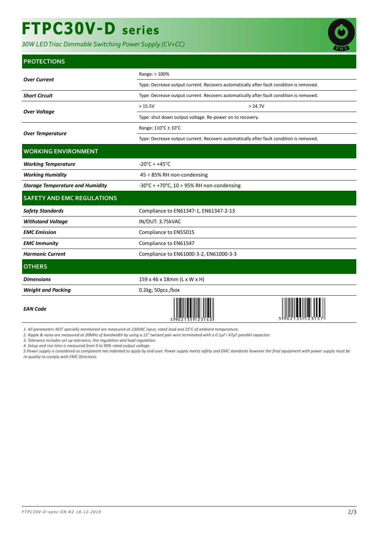# **FTPC30V-D series**

*30W LED Triac Dimmable Switching Power Supply (CV+CC)*



#### **PROTECTIONS**

|                                         | Range: > 100%                                                                           |         |  |  |
|-----------------------------------------|-----------------------------------------------------------------------------------------|---------|--|--|
| <b>Over Current</b>                     | Type: Decrease output current. Recovers automatically after fault condition is removed. |         |  |  |
| <b>Short Circuit</b>                    | Type: Decrease output current. Recovers automatically after fault condition is removed. |         |  |  |
| <b>Over Voltage</b>                     | >15.5V                                                                                  | > 24.7V |  |  |
|                                         | Type: shut down output voltage. Re-power on to recovery.                                |         |  |  |
| <b>Over Temperature</b>                 | Range: 110°C ± 10°C                                                                     |         |  |  |
|                                         | Type: Decrease output current. Recovers automatically after fault condition is removed. |         |  |  |
| <b>WORKING ENVIRONMENT</b>              |                                                                                         |         |  |  |
| <b>Working Temperature</b>              | $-20^{\circ}$ C ÷ +45 $^{\circ}$ C                                                      |         |  |  |
| <b>Working Humidity</b>                 | 45 ÷ 85% RH non-condensing                                                              |         |  |  |
| <b>Storage Temperature and Humidity</b> | -30°C $\div$ +70°C, 10 $\div$ 95% RH non-condensing                                     |         |  |  |
| <b>SAFETY AND EMC REGULATIONS</b>       |                                                                                         |         |  |  |
| <b>Safety Standards</b>                 | Compliance to EN61347-1, EN61347-2-13                                                   |         |  |  |
| <b>Withstand Voltage</b>                | IN/OUT: 3.75kVAC                                                                        |         |  |  |
| <b>EMC</b> Emission                     | Compliance to EN55015                                                                   |         |  |  |
| <b>EMC Immunity</b>                     | Compliance to EN61547                                                                   |         |  |  |
| <b>Harmonic Current</b>                 | Compliance to EN61000-3-2, EN61000-3-3                                                  |         |  |  |
| <b>OTHERS</b>                           |                                                                                         |         |  |  |
| <b>Dimensions</b>                       | 159 x 46 x 18mm (L x W x H)                                                             |         |  |  |
| <b>Weight and Packing</b>               | 0.2kg; 50pcs./box                                                                       |         |  |  |
| <b>EAN Code</b>                         |                                                                                         |         |  |  |

*1. All parameters NOT specially mentioned are measured at 230VAC input, rated load and 25°C of ambient temperature.*

2. Ripple & noise are measured at 20MHz of bandwidth by using a 12" twisted pair-wire terminated with a 0.1μF i 47μF parallel capacitor.

*3. Tolerance includes set up tolerance, line regulation and load regulation.*

*4. Setup and rise time is measured from 0 to 90% rated output voltage.*

*5.Power supply is considered as component not indented to apply by end-user. Power supply meets safety and EMC standards however the final equipment with power supply must be re-quality to comply with EMC Directives.*